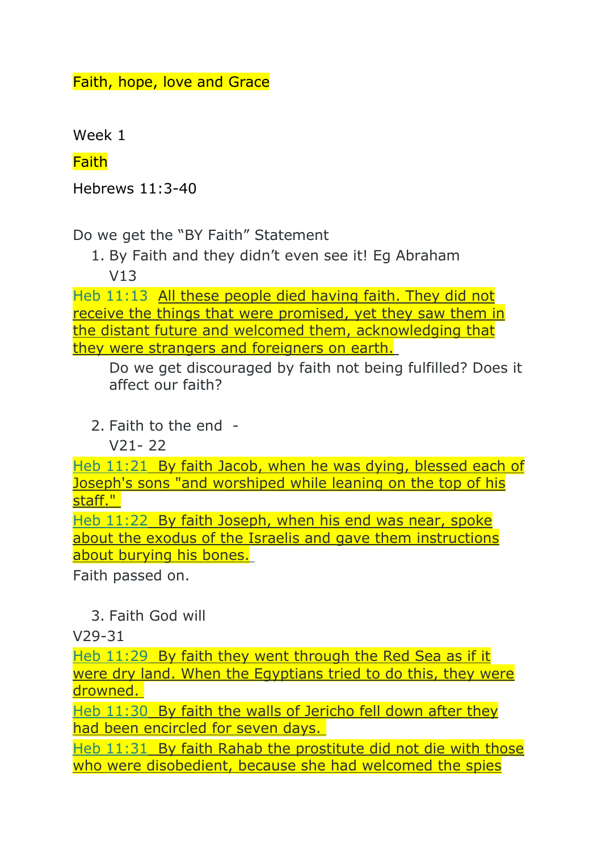Faith, hope, love and Grace

Week 1

**Faith** 

Hebrews 11:3-40

Do we get the "BY Faith" Statement

1. By Faith and they didn't even see it! Eg Abraham V13

Heb 11:13 All these people died having faith. They did not receive the things that were promised, yet they saw them in the distant future and welcomed them, acknowledging that they were strangers and foreigners on earth.

Do we get discouraged by faith not being fulfilled? Does it affect our faith?

2. Faith to the end -

 $V21 - 22$ 

Heb 11:21 By faith Jacob, when he was dying, blessed each of Joseph's sons "and worshiped while leaning on the top of his staff."

Heb 11:22 By faith Joseph, when his end was near, spoke about the exodus of the Israelis and gave them instructions about burying his bones.

Faith passed on.

3. Faith God will

V29-31

Heb 11:29 By faith they went through the Red Sea as if it were dry land. When the Egyptians tried to do this, they were drowned.

Heb 11:30 By faith the walls of Jericho fell down after they had been encircled for seven days.

Heb 11:31 By faith Rahab the prostitute did not die with those who were disobedient, because she had welcomed the spies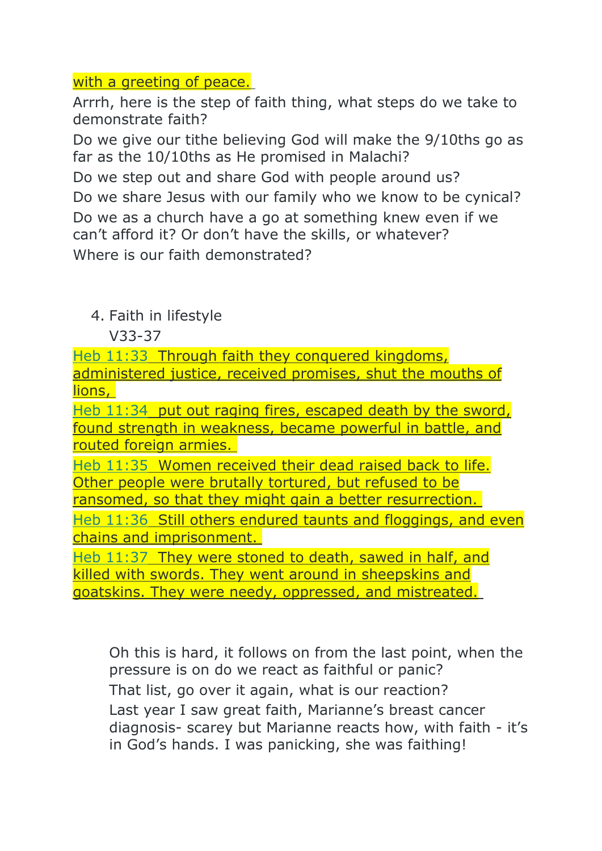## with a greeting of peace.

Arrrh, here is the step of faith thing, what steps do we take to demonstrate faith?

Do we give our tithe believing God will make the 9/10ths go as far as the 10/10ths as He promised in Malachi?

Do we step out and share God with people around us?

Do we share Jesus with our family who we know to be cynical? Do we as a church have a go at something knew even if we can't afford it? Or don't have the skills, or whatever? Where is our faith demonstrated?

## 4. Faith in lifestyle

V33-37

Heb 11:33 Through faith they conquered kingdoms, administered justice, received promises, shut the mouths of lions,

Heb 11:34 put out raging fires, escaped death by the sword, found strength in weakness, became powerful in battle, and routed foreign armies.

Heb 11:35 Women received their dead raised back to life. Other people were brutally tortured, but refused to be ransomed, so that they might gain a better resurrection.

Heb 11:36 Still others endured taunts and floggings, and even chains and imprisonment.

Heb 11:37 They were stoned to death, sawed in half, and killed with swords. They went around in sheepskins and goatskins. They were needy, oppressed, and mistreated.

Oh this is hard, it follows on from the last point, when the pressure is on do we react as faithful or panic? That list, go over it again, what is our reaction? Last year I saw great faith, Marianne's breast cancer diagnosis- scarey but Marianne reacts how, with faith - it's in God's hands. I was panicking, she was faithing!